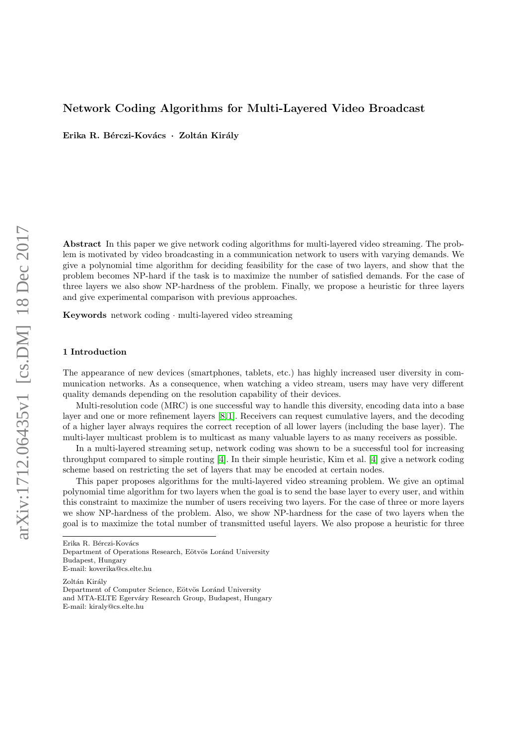# Network Coding Algorithms for Multi-Layered Video Broadcast

Erika R. Bérczi-Kovács · Zoltán Király

Abstract In this paper we give network coding algorithms for multi-layered video streaming. The problem is motivated by video broadcasting in a communication network to users with varying demands. We give a polynomial time algorithm for deciding feasibility for the case of two layers, and show that the problem becomes NP-hard if the task is to maximize the number of satisfied demands. For the case of three layers we also show NP-hardness of the problem. Finally, we propose a heuristic for three layers and give experimental comparison with previous approaches.

Keywords network coding · multi-layered video streaming

### 1 Introduction

The appearance of new devices (smartphones, tablets, etc.) has highly increased user diversity in communication networks. As a consequence, when watching a video stream, users may have very different quality demands depending on the resolution capability of their devices.

Multi-resolution code (MRC) is one successful way to handle this diversity, encoding data into a base layer and one or more refinement layers [\[8,](#page-13-0) [1\]](#page-13-1). Receivers can request cumulative layers, and the decoding of a higher layer always requires the correct reception of all lower layers (including the base layer). The multi-layer multicast problem is to multicast as many valuable layers to as many receivers as possible.

In a multi-layered streaming setup, network coding was shown to be a successful tool for increasing throughput compared to simple routing [\[4\]](#page-13-2). In their simple heuristic, Kim et al. [\[4\]](#page-13-2) give a network coding scheme based on restricting the set of layers that may be encoded at certain nodes.

This paper proposes algorithms for the multi-layered video streaming problem. We give an optimal polynomial time algorithm for two layers when the goal is to send the base layer to every user, and within this constraint to maximize the number of users receiving two layers. For the case of three or more layers we show NP-hardness of the problem. Also, we show NP-hardness for the case of two layers when the goal is to maximize the total number of transmitted useful layers. We also propose a heuristic for three

Erika R. Bérczi-Kovács Department of Operations Research, Eötvös Loránd University Budapest, Hungary E-mail: koverika@cs.elte.hu

Zoltán Király Department of Computer Science, Eötvös Loránd University and MTA-ELTE Egerváry Research Group, Budapest, Hungary E-mail: kiraly@cs.elte.hu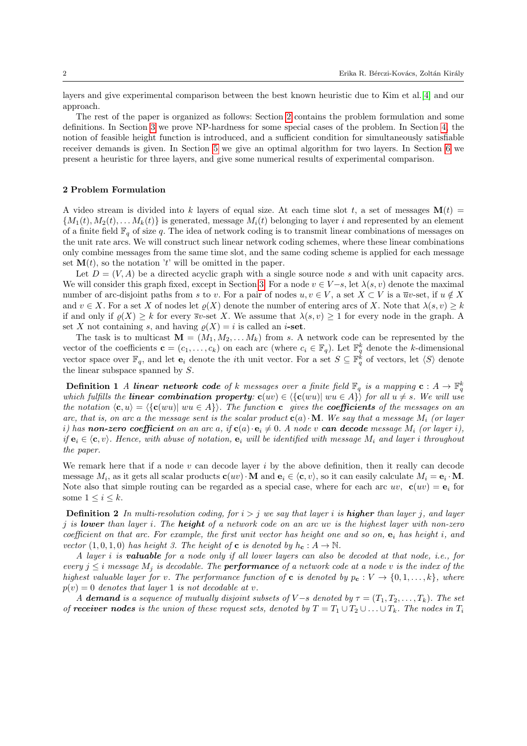layers and give experimental comparison between the best known heuristic due to Kim et al.[\[4\]](#page-13-2) and our approach.

The rest of the paper is organized as follows: Section [2](#page-1-0) contains the problem formulation and some definitions. In Section [3](#page-2-0) we prove NP-hardness for some special cases of the problem. In Section [4,](#page-4-0) the notion of feasible height function is introduced, and a sufficient condition for simultaneously satisfiable receiver demands is given. In Section [5](#page-7-0) we give an optimal algorithm for two layers. In Section [6](#page-9-0) we present a heuristic for three layers, and give some numerical results of experimental comparison.

# <span id="page-1-0"></span>2 Problem Formulation

A video stream is divided into k layers of equal size. At each time slot t, a set of messages  $\mathbf{M}(t)$  =  $\{M_1(t), M_2(t), \ldots, M_k(t)\}\$ is generated, message  $M_i(t)$  belonging to layer i and represented by an element of a finite field  $\mathbb{F}_q$  of size q. The idea of network coding is to transmit linear combinations of messages on the unit rate arcs. We will construct such linear network coding schemes, where these linear combinations only combine messages from the same time slot, and the same coding scheme is applied for each message set  $\mathbf{M}(t)$ , so the notation 't' will be omitted in the paper.

Let  $D = (V, A)$  be a directed acyclic graph with a single source node s and with unit capacity arcs. We will consider this graph fixed, except in Section [3.](#page-2-0) For a node  $v \in V-s$ , let  $\lambda(s, v)$  denote the maximal number of arc-disjoint paths from s to v. For a pair of nodes  $u, v \in V$ , a set  $X \subset V$  is a  $\overline{u}v$ -set, if  $u \notin X$ and  $v \in X$ . For a set X of nodes let  $\rho(X)$  denote the number of entering arcs of X. Note that  $\lambda(s, v) \geq k$ if and only if  $\rho(X) \geq k$  for every  $\overline{s}v$ -set X. We assume that  $\lambda(s, v) \geq 1$  for every node in the graph. A set X not containing s, and having  $\rho(X) = i$  is called an *i*-set.

The task is to multicast  $\mathbf{M} = (M_1, M_2, \dots M_k)$  from s. A network code can be represented by the vector of the coefficients  $\mathbf{c} = (c_1, \ldots, c_k)$  on each arc (where  $c_i \in \mathbb{F}_q$ ). Let  $\mathbb{F}_q^k$  denote the k-dimensional vector space over  $\mathbb{F}_q$ , and let  $\mathbf{e}_i$  denote the *i*th unit vector. For a set  $S \subseteq \mathbb{F}_q^{\hat{k}}$  of vectors, let  $\langle S \rangle$  denote the linear subspace spanned by  $S$ .

**Definition 1** A linear network code of k messages over a finite field  $\mathbb{F}_q$  is a mapping  $\mathbf{c}: A \to \mathbb{F}_q^k$ which fulfills the **linear combination property:**  $\mathbf{c}(uv) \in \langle {\{\mathbf{c}(wu)| wu \in A\}} \rangle$  for all  $u \neq s$ . We will use the notation  $\langle c, u \rangle = \langle \{c(wu) | vu \in A\} \rangle$ . The function c gives the **coefficients** of the messages on an arc, that is, on arc a the message sent is the scalar product  $c(a) \cdot M$ . We say that a message  $M_i$  (or layer i) has non-zero coefficient on an arc a, if  $c(a) \cdot e_i \neq 0$ . A node v can decode message  $M_i$  (or layer i), if  $e_i \in \langle c, v \rangle$ . Hence, with abuse of notation,  $e_i$  will be identified with message  $M_i$  and layer i throughout the paper.

We remark here that if a node  $v$  can decode layer  $i$  by the above definition, then it really can decode message  $M_i$ , as it gets all scalar products  $\mathbf{c}(uv) \cdot \mathbf{M}$  and  $\mathbf{e}_i \in \langle \mathbf{c}, v \rangle$ , so it can easily calculate  $M_i = \mathbf{e}_i \cdot \mathbf{M}$ . Note also that simple routing can be regarded as a special case, where for each arc  $uv$ ,  $\mathbf{c}(uv) = \mathbf{e}_i$  for some  $1 \leq i \leq k$ .

<span id="page-1-1"></span>**Definition 2** In multi-resolution coding, for  $i > j$  we say that layer i is **higher** than layer j, and layer j is lower than layer i. The height of a network code on an arc uv is the highest layer with non-zero coefficient on that arc. For example, the first unit vector has height one and so on,  $e_i$  has height i, and vector  $(1, 0, 1, 0)$  has height 3. The height of **c** is denoted by  $h_c : A \to \mathbb{N}$ .

A layer i is valuable for a node only if all lower layers can also be decoded at that node, i.e., for every  $j \leq i$  message  $M_j$  is decodable. The **performance** of a network code at a node v is the index of the highest valuable layer for v. The performance function of **c** is denoted by  $p_c : V \to \{0, 1, \ldots, k\}$ , where  $p(v) = 0$  denotes that layer 1 is not decodable at v.

A demand is a sequence of mutually disjoint subsets of V-s denoted by  $\tau = (T_1, T_2, \ldots, T_k)$ . The set of receiver nodes is the union of these request sets, denoted by  $T = T_1 \cup T_2 \cup \ldots \cup T_k$ . The nodes in  $T_i$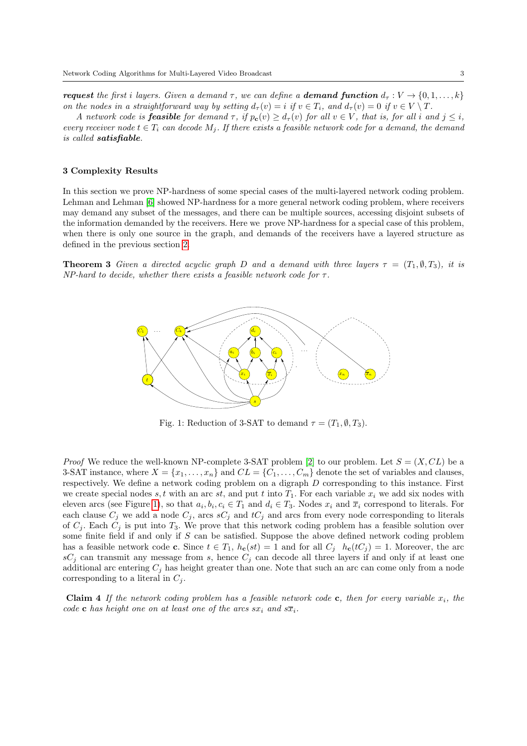**request** the first i layers. Given a demand  $\tau$ , we can define a **demand function**  $d_{\tau}: V \to \{0, 1, \ldots, k\}$ on the nodes in a straightforward way by setting  $d_{\tau}(v) = i$  if  $v \in T_i$ , and  $d_{\tau}(v) = 0$  if  $v \in V \setminus T$ .

A network code is **feasible** for demand  $\tau$ , if  $p_c(v) \geq d_{\tau}(v)$  for all  $v \in V$ , that is, for all i and  $j \leq i$ , every receiver node  $t \in T_i$  can decode  $M_i$ . If there exists a feasible network code for a demand, the demand is called satisfiable.

# <span id="page-2-0"></span>3 Complexity Results

In this section we prove NP-hardness of some special cases of the multi-layered network coding problem. Lehman and Lehman [\[6\]](#page-13-3) showed NP-hardness for a more general network coding problem, where receivers may demand any subset of the messages, and there can be multiple sources, accessing disjoint subsets of the information demanded by the receivers. Here we prove NP-hardness for a special case of this problem, when there is only one source in the graph, and demands of the receivers have a layered structure as defined in the previous section [2.](#page-1-1)

<span id="page-2-1"></span>**Theorem 3** Given a directed acyclic graph D and a demand with three layers  $\tau = (T_1, \emptyset, T_3)$ , it is  $NP$ -hard to decide, whether there exists a feasible network code for  $\tau$ .



Fig. 1: Reduction of 3-SAT to demand  $\tau = (T_1, \emptyset, T_3)$ .

*Proof* We reduce the well-known NP-complete 3-SAT problem [\[2\]](#page-13-4) to our problem. Let  $S = (X, CL)$  be a 3-SAT instance, where  $X = \{x_1, \ldots, x_n\}$  and  $CL = \{C_1, \ldots, C_m\}$  denote the set of variables and clauses, respectively. We define a network coding problem on a digraph D corresponding to this instance. First we create special nodes s, t with an arc st, and put t into  $T_1$ . For each variable  $x_i$  we add six nodes with eleven arcs (see Figure [1\)](#page-2-1), so that  $a_i, b_i, c_i \in T_1$  and  $d_i \in T_3$ . Nodes  $x_i$  and  $\overline{x}_i$  correspond to literals. For each clause  $C_j$  we add a node  $C_j$ , arcs  $sC_j$  and  $tC_j$  and arcs from every node corresponding to literals of  $C_j$ . Each  $C_j$  is put into  $T_3$ . We prove that this network coding problem has a feasible solution over some finite field if and only if S can be satisfied. Suppose the above defined network coding problem has a feasible network code **c**. Since  $t \in T_1$ ,  $h_c(st) = 1$  and for all  $C_j$   $h_c(tC_j) = 1$ . Moreover, the arc  $sC_j$  can transmit any message from s, hence  $C_j$  can decode all three layers if and only if at least one additional arc entering  $C_i$  has height greater than one. Note that such an arc can come only from a node corresponding to a literal in  $C_i$ .

**Claim 4** If the network coding problem has a feasible network code c, then for every variable  $x_i$ , the code c has height one on at least one of the arcs  $sx_i$  and  $s\overline{x}_i$ .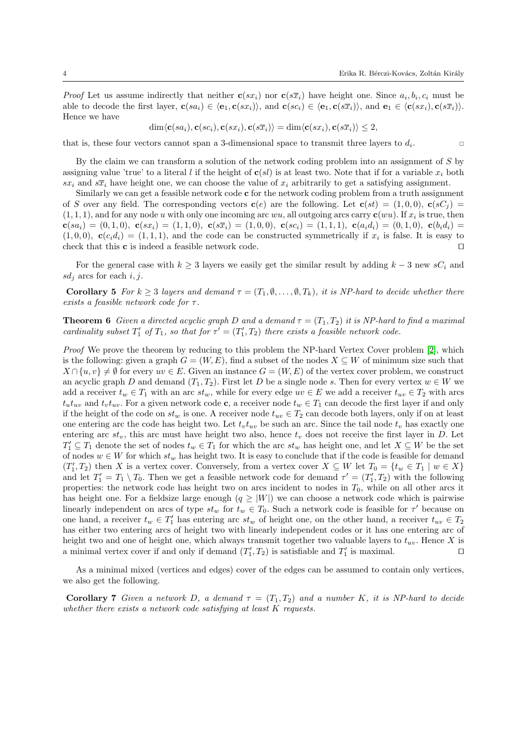*Proof* Let us assume indirectly that neither  $c(sx_i)$  nor  $c(s\overline{x}_i)$  have height one. Since  $a_i, b_i, c_i$  must be able to decode the first layer,  $\mathbf{c}(sa_i) \in \langle \mathbf{e}_1, \mathbf{c}(sx_i)\rangle$ , and  $\mathbf{c}(sc_i) \in \langle \mathbf{e}_1, \mathbf{c}(s\overline{x}_i)\rangle$ , and  $\mathbf{e}_1 \in \langle \mathbf{c}(sx_i), \mathbf{c}(s\overline{x}_i)\rangle$ . Hence we have

$$
\dim \langle \mathbf{c}(sa_i), \mathbf{c}(sc_i), \mathbf{c}(sx_i), \mathbf{c}(s\overline{x}_i) \rangle = \dim \langle \mathbf{c}(sx_i), \mathbf{c}(s\overline{x}_i) \rangle \leq 2,
$$

that is, these four vectors cannot span a 3-dimensional space to transmit three layers to  $d_i$ . .

By the claim we can transform a solution of the network coding problem into an assignment of S by assigning value 'true' to a literal l if the height of  $c(sl)$  is at least two. Note that if for a variable  $x_i$  both  $sx_i$  and  $s\overline{x}_i$  have height one, we can choose the value of  $x_i$  arbitrarily to get a satisfying assignment.

Similarly we can get a feasible network code c for the network coding problem from a truth assignment of S over any field. The corresponding vectors  $\mathbf{c}(e)$  are the following. Let  $\mathbf{c}(st) = (1,0,0)$ ,  $\mathbf{c}(sC_i)$  $(1, 1, 1)$ , and for any node u with only one incoming arc wu, all outgoing arcs carry  $c(wu)$ . If  $x_i$  is true, then  ${\bf c}(sa_i) = (0,1,0), \ {\bf c}(sx_i) = (1,1,0), \ {\bf c}(s\overline{x}_i) = (1,0,0), \ {\bf c}(sc_i) = (1,1,1), \ {\bf c}(a_i d_i) = (0,1,0), \ {\bf c}(b_i d_i) =$  $(1, 0, 0)$ ,  $\mathbf{c}(c_i d_i) = (1, 1, 1)$ , and the code can be constructed symmetrically if  $x_i$  is false. It is easy to check that this  $\mathbf c$  is indeed a feasible network code.  $\Box$ 

For the general case with  $k \geq 3$  layers we easily get the similar result by adding  $k-3$  new  $sC_i$  and  $sd_i$  arcs for each i, j.

Corollary 5 For  $k \geq 3$  layers and demand  $\tau = (T_1, \emptyset, \ldots, \emptyset, T_k)$ , it is NP-hard to decide whether there exists a feasible network code for  $\tau$ .

**Theorem 6** Given a directed acyclic graph D and a demand  $\tau = (T_1, T_2)$  it is NP-hard to find a maximal cardinality subset  $T'_1$  of  $T_1$ , so that for  $\tau' = (T'_1, T_2)$  there exists a feasible network code.

Proof We prove the theorem by reducing to this problem the NP-hard Vertex Cover problem [\[2\]](#page-13-4), which is the following: given a graph  $G = (W, E)$ , find a subset of the nodes  $X \subseteq W$  of minimum size such that  $X \cap \{u, v\} \neq \emptyset$  for every  $uv \in E$ . Given an instance  $G = (W, E)$  of the vertex cover problem, we construct an acyclic graph D and demand  $(T_1, T_2)$ . First let D be a single node s. Then for every vertex  $w \in W$  we add a receiver  $t_w \in T_1$  with an arc  $st_w$ , while for every edge  $uv \in E$  we add a receiver  $t_{uv} \in T_2$  with arcs  $t_u t_{uv}$  and  $t_v t_{uv}$ . For a given network code c, a receiver node  $t_w \in T_1$  can decode the first layer if and only if the height of the code on  $st_w$  is one. A receiver node  $t_{uv} \in T_2$  can decode both layers, only if on at least one entering arc the code has height two. Let  $t_v t_{uv}$  be such an arc. Since the tail node  $t_v$  has exactly one entering arc  $st_v$ , this arc must have height two also, hence  $t_v$  does not receive the first layer in D. Let  $T_1' \subseteq T_1$  denote the set of nodes  $t_w \in T_1$  for which the arc  $st_w$  has height one, and let  $X \subseteq W$  be the set of nodes  $w \in W$  for which  $st_w$  has height two. It is easy to conclude that if the code is feasible for demand  $(T'_1, T_2)$  then X is a vertex cover. Conversely, from a vertex cover  $X \subseteq W$  let  $T_0 = \{t_w \in T_1 \mid w \in X\}$ and let  $T_1' = T_1 \setminus T_0$ . Then we get a feasible network code for demand  $\tau' = (T_1', T_2)$  with the following properties: the network code has height two on arcs incident to nodes in  $T_0$ , while on all other arcs it has height one. For a fieldsize large enough  $(q \geq |W|)$  we can choose a network code which is pairwise linearly independent on arcs of type  $st_w$  for  $t_w \in T_0$ . Such a network code is feasible for  $\tau'$  because on one hand, a receiver  $t_w \in T'_1$  has entering arc  $st_w$  of height one, on the other hand, a receiver  $t_{uv} \in T_2$ has either two entering arcs of height two with linearly independent codes or it has one entering arc of height two and one of height one, which always transmit together two valuable layers to  $t_{uv}$ . Hence X is a minimal vertex cover if and only if demand  $(T'_1, T_2)$  is satisfiable and  $T'_1$  is maximal.

As a minimal mixed (vertices and edges) cover of the edges can be assumed to contain only vertices, we also get the following.

Corollary 7 Given a network D, a demand  $\tau = (T_1, T_2)$  and a number K, it is NP-hard to decide whether there exists a network code satisfying at least K requests.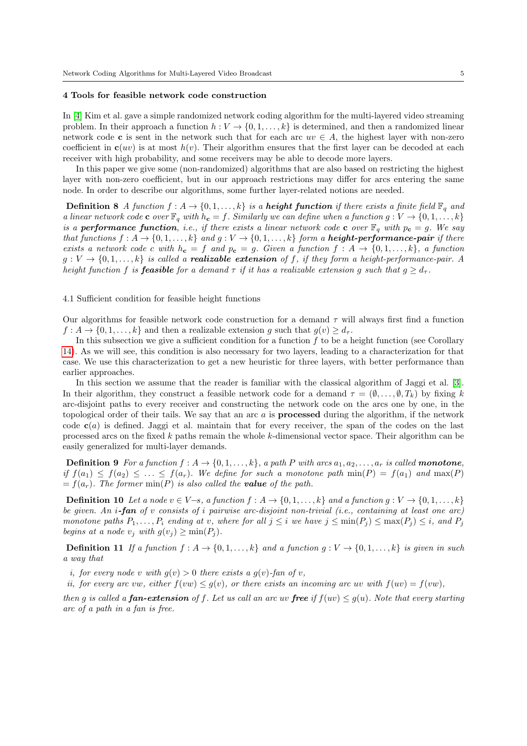#### <span id="page-4-0"></span>4 Tools for feasible network code construction

In [\[4\]](#page-13-2) Kim et al. gave a simple randomized network coding algorithm for the multi-layered video streaming problem. In their approach a function  $h: V \to \{0, 1, \ldots, k\}$  is determined, and then a randomized linear network code c is sent in the network such that for each arc  $uv \in A$ , the highest layer with non-zero coefficient in  $c(uv)$  is at most  $h(v)$ . Their algorithm ensures that the first layer can be decoded at each receiver with high probability, and some receivers may be able to decode more layers.

In this paper we give some (non-randomized) algorithms that are also based on restricting the highest layer with non-zero coefficient, but in our approach restrictions may differ for arcs entering the same node. In order to describe our algorithms, some further layer-related notions are needed.

**Definition 8** A function  $f : A \to \{0, 1, ..., k\}$  is a **height function** if there exists a finite field  $\mathbb{F}_q$  and a linear network code c over  $\mathbb{F}_q$  with  $h_c = f$ . Similarly we can define when a function  $g: V \to \{0, 1, \ldots, k\}$ is a **performance function**, i.e., if there exists a linear network code **c** over  $\mathbb{F}_q$  with  $p_c = g$ . We say that functions  $f : A \to \{0, 1, \ldots, k\}$  and  $g : V \to \{0, 1, \ldots, k\}$  form a **height-performance-pair** if there exists a network code c with  $h_c = f$  and  $p_c = g$ . Given a function  $f : A \to \{0, 1, ..., k\}$ , a function  $g: V \to \{0, 1, \ldots, k\}$  is called a **realizable extension** of f, if they form a height-performance-pair. A height function f is **feasible** for a demand  $\tau$  if it has a realizable extension g such that  $g \geq d_{\tau}$ .

4.1 Sufficient condition for feasible height functions

Our algorithms for feasible network code construction for a demand  $\tau$  will always first find a function  $f: A \to \{0, 1, \ldots, k\}$  and then a realizable extension g such that  $g(v) \geq d_{\tau}$ .

In this subsection we give a sufficient condition for a function  $f$  to be a height function (see Corollary [14\)](#page-5-0). As we will see, this condition is also necessary for two layers, leading to a characterization for that case. We use this characterization to get a new heuristic for three layers, with better performance than earlier approaches.

In this section we assume that the reader is familiar with the classical algorithm of Jaggi et al. [\[3\]](#page-13-5). In their algorithm, they construct a feasible network code for a demand  $\tau = (\emptyset, \ldots, \emptyset, T_k)$  by fixing k arc-disjoint paths to every receiver and constructing the network code on the arcs one by one, in the topological order of their tails. We say that an arc  $a$  is **processed** during the algorithm, if the network code  $c(a)$  is defined. Jaggi et al. maintain that for every receiver, the span of the codes on the last processed arcs on the fixed k paths remain the whole k-dimensional vector space. Their algorithm can be easily generalized for multi-layer demands.

**Definition 9** For a function  $f : A \rightarrow \{0, 1, \ldots, k\}$ , a path P with arcs  $a_1, a_2, \ldots, a_r$  is called **monotone**, if  $f(a_1) \le f(a_2) \le \ldots \le f(a_r)$ . We define for such a monotone path  $\min(P) = f(a_1)$  and  $\max(P)$  $=f(a_r)$ . The former min(P) is also called the **value** of the path.

**Definition 10** Let a node  $v \in V-s$ , a function  $f : A \to \{0, 1, \ldots, k\}$  and a function  $g : V \to \{0, 1, \ldots, k\}$ be given. An *i*-fan of v consists of *i* pairwise arc-disjoint non-trivial (*i.e.*, containing at least one arc) monotone paths  $P_1, \ldots, P_i$  ending at v, where for all  $j \leq i$  we have  $j \leq \min(P_i) \leq \max(P_i) \leq i$ , and  $P_j$ begins at a node  $v_i$  with  $g(v_i) \ge \min(P_i)$ .

<span id="page-4-1"></span>**Definition 11** If a function  $f : A \rightarrow \{0, 1, \ldots, k\}$  and a function  $g : V \rightarrow \{0, 1, \ldots, k\}$  is given in such a way that

- i, for every node v with  $g(v) > 0$  there exists a  $g(v)$ -fan of v,
- ii, for every arc vw, either  $f(vw) \leq g(v)$ , or there exists an incoming arc uv with  $f(uv) = f(vw)$ ,

then g is called a **fan-extension** of f. Let us call an arc uv **free** if  $f(w) \leq g(u)$ . Note that every starting arc of a path in a fan is free.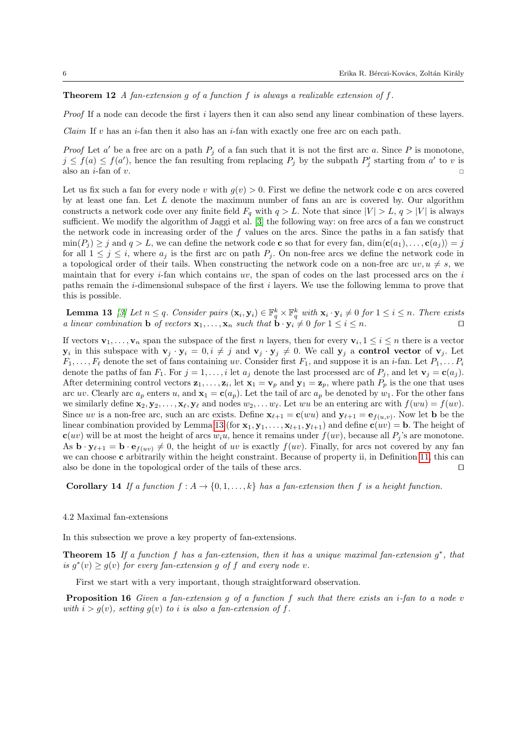# **Theorem 12** A fan-extension g of a function f is always a realizable extension of f.

Proof If a node can decode the first i layers then it can also send any linear combination of these layers.

Claim If v has an i-fan then it also has an i-fan with exactly one free arc on each path.

*Proof* Let a' be a free arc on a path  $P_j$  of a fan such that it is not the first arc a. Since P is monotone,  $j \le f(a) \le f(a')$ , hence the fan resulting from replacing  $P_j$  by the subpath  $P'_j$  starting from a' to v is also an  $i$ -fan of  $v$ .

Let us fix such a fan for every node v with  $g(v) > 0$ . First we define the network code c on arcs covered by at least one fan. Let L denote the maximum number of fans an arc is covered by. Our algorithm constructs a network code over any finite field  $F_q$  with  $q > L$ . Note that since  $|V| > L$ ,  $q > |V|$  is always sufficient. We modify the algorithm of Jaggi et al. [\[3\]](#page-13-5) the following way: on free arcs of a fan we construct the network code in increasing order of the  $f$  values on the arcs. Since the paths in a fan satisfy that  $\min(P_i) \geq j$  and  $q > L$ , we can define the network code c so that for every fan,  $\dim(\mathbf{c}(a_1), \ldots, \mathbf{c}(a_j)) = j$ for all  $1 \leq j \leq i$ , where  $a_j$  is the first arc on path  $P_j$ . On non-free arcs we define the network code in a topological order of their tails. When constructing the network code on a non-free arc  $uv, u \neq s$ , we maintain that for every  $i$ -fan which contains  $uv$ , the span of codes on the last processed arcs on the  $i$ paths remain the  $i$ -dimensional subspace of the first  $i$  layers. We use the following lemma to prove that this is possible.

<span id="page-5-1"></span>**Lemma 13** [\[3\]](#page-13-5) Let  $n \leq q$ . Consider pairs  $(\mathbf{x}_i, \mathbf{y}_i) \in \mathbb{F}_q^k \times \mathbb{F}_q^k$  with  $\mathbf{x}_i \cdot \mathbf{y}_i \neq 0$  for  $1 \leq i \leq n$ . There exists a linear combination **b** of vectors  $\mathbf{x}_1, \ldots, \mathbf{x}_n$  such that  $\mathbf{b} \cdot \mathbf{y}_i \neq 0$  for  $1 \leq i \leq n$ .

If vectors  $\mathbf{v}_1, \ldots, \mathbf{v}_n$  span the subspace of the first n layers, then for every  $\mathbf{v}_i, 1 \leq i \leq n$  there is a vector  $y_i$  in this subspace with  $v_j \cdot y_i = 0, i \neq j$  and  $v_j \cdot y_j \neq 0$ . We call  $y_j$  a control vector of  $v_j$ . Let  $F_1, \ldots, F_\ell$  denote the set of fans containing uv. Consider first  $F_1$ , and suppose it is an *i*-fan. Let  $P_1, \ldots, P_i$ denote the paths of fan  $F_1$ . For  $j = 1, ..., i$  let  $a_j$  denote the last processed arc of  $P_j$ , and let  $\mathbf{v}_j = \mathbf{c}(a_j)$ . After determining control vectors  $z_1, \ldots, z_i$ , let  $x_1 = v_p$  and  $y_1 = z_p$ , where path  $P_p$  is the one that uses arc uv. Clearly arc  $a_p$  enters u, and  $\mathbf{x}_1 = \mathbf{c}(a_p)$ . Let the tail of arc  $a_p$  be denoted by  $w_1$ . For the other fans we similarly define  $\mathbf{x}_2, \mathbf{y}_2, \ldots, \mathbf{x}_\ell, \mathbf{y}_\ell$  and nodes  $w_2, \ldots w_\ell$ . Let wu be an entering arc with  $f(wu) = f(uv)$ . Since uv is a non-free arc, such an arc exists. Define  $\mathbf{x}_{\ell+1} = \mathbf{c}(wu)$  and  $\mathbf{y}_{\ell+1} = \mathbf{e}_{f(u,v)}$ . Now let **b** be the linear combination provided by Lemma [13](#page-5-1) (for  $x_1, y_1, \ldots, x_{l+1}, y_{l+1}$ ) and define  $c(uv) = b$ . The height of  $c(uv)$  will be at most the height of arcs  $w_iu$ , hence it remains under  $f(uv)$ , because all  $P_i$ 's are monotone. As  $\mathbf{b} \cdot \mathbf{y}_{\ell+1} = \mathbf{b} \cdot \mathbf{e}_{f(uv)} \neq 0$ , the height of uv is exactly  $f(uv)$ . Finally, for arcs not covered by any fan we can choose **c** arbitrarily within the height constraint. Because of property ii, in Definition [11,](#page-4-1) this can also be done in the topological order of the tails of these arcs.  $\Box$ 

<span id="page-5-0"></span>Corollary 14 If a function  $f : A \to \{0, 1, ..., k\}$  has a fan-extension then f is a height function.

### 4.2 Maximal fan-extensions

In this subsection we prove a key property of fan-extensions.

**Theorem 15** If a function f has a fan-extension, then it has a unique maximal fan-extension  $g^*$ , that is  $g^*(v) \ge g(v)$  for every fan-extension g of f and every node v.

<span id="page-5-3"></span><span id="page-5-2"></span>First we start with a very important, though straightforward observation.

Proposition 16 Given a fan-extension g of a function f such that there exists an *i*-fan to a node v with  $i > g(v)$ , setting  $g(v)$  to i is also a fan-extension of f.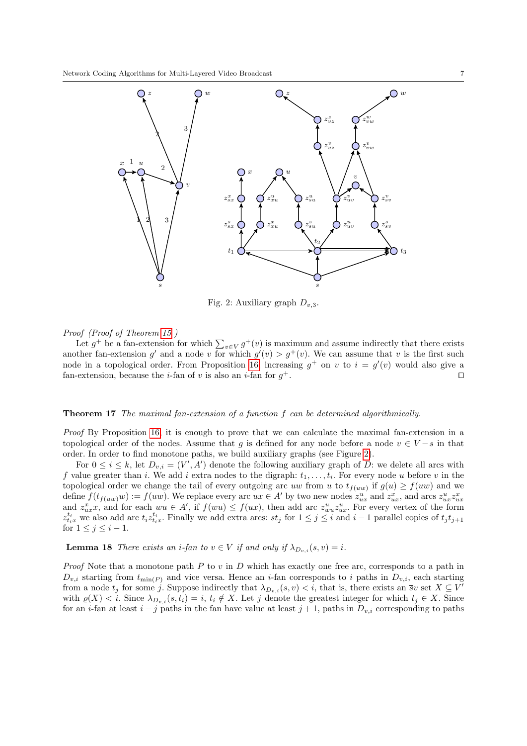<span id="page-6-0"></span>

Fig. 2: Auxiliary graph  $D_{n,3}$ .

# Proof (Proof of Theorem [15](#page-5-2) )

Let  $g^+$  be a fan-extension for which  $\sum_{v \in V} g^+(v)$  is maximum and assume indirectly that there exists another fan-extension g' and a node v for which  $g'(v) > g^+(v)$ . We can assume that v is the first such node in a topological order. From Proposition [16,](#page-5-3) increasing  $g^+$  on v to  $i = g'(v)$  would also give a fan-extension, because the *i*-fan of *v* is also an *i*-fan for  $q^+$ .  $+$ .

#### Theorem 17 The maximal fan-extension of a function f can be determined algorithmically.

Proof By Proposition [16,](#page-5-3) it is enough to prove that we can calculate the maximal fan-extension in a topological order of the nodes. Assume that g is defined for any node before a node  $v \in V - s$  in that order. In order to find monotone paths, we build auxiliary graphs (see Figure [2\)](#page-6-0).

For  $0 \leq i \leq k$ , let  $D_{v,i} = (V', A')$  denote the following auxiliary graph of D: we delete all arcs with f value greater than i. We add i extra nodes to the digraph:  $t_1, \ldots, t_i$ . For every node u before v in the topological order we change the tail of every outgoing arc uw from u to  $t_{f(uw)}$  if  $g(u) \ge f(uw)$  and we define  $f(t_{f(uw)}w) := f(uw)$ . We replace every arc  $ux \in A'$  by two new nodes  $z_{ux}^u$  and  $z_{ux}^x$ , and arcs  $z_{ux}^u z_{ux}^x$ and  $z_{ux}^x$ , and for each  $wu \in A'$ , if  $f(wu) \le f(ux)$ , then add arc  $z_{uu}^u z_{ux}^u$ . For every vertex of the form  $z_{t_ix}^{t_i}$  we also add arc  $t_iz_{t_ix}^{t_i}$ . Finally we add extra arcs:  $st_j$  for  $1 \leq j \leq i$  and  $i-1$  parallel copies of  $t_jt_{j+1}$ for  $1 \leq j \leq i-1$ .

<span id="page-6-1"></span>**Lemma 18** There exists an *i*-fan to  $v \in V$  if and only if  $\lambda_{D_{v,i}}(s, v) = i$ .

*Proof* Note that a monotone path  $P$  to  $v$  in  $D$  which has exactly one free arc, corresponds to a path in  $D_{v,i}$  starting from  $t_{\min(P)}$  and vice versa. Hence an *i*-fan corresponds to *i* paths in  $D_{v,i}$ , each starting from a node  $t_j$  for some j. Suppose indirectly that  $\lambda_{D_{v,i}}(s, v) < i$ , that is, there exists an  $\overline{s}v$  set  $X \subseteq V'$ with  $\varrho(X) < i$ . Since  $\lambda_{D_{v,i}}(s,t_i) = i$ ,  $t_i \notin X$ . Let j denote the greatest integer for which  $t_i \in X$ . Since for an i-fan at least  $i - j$  paths in the fan have value at least  $j + 1$ , paths in  $D_{v,i}$  corresponding to paths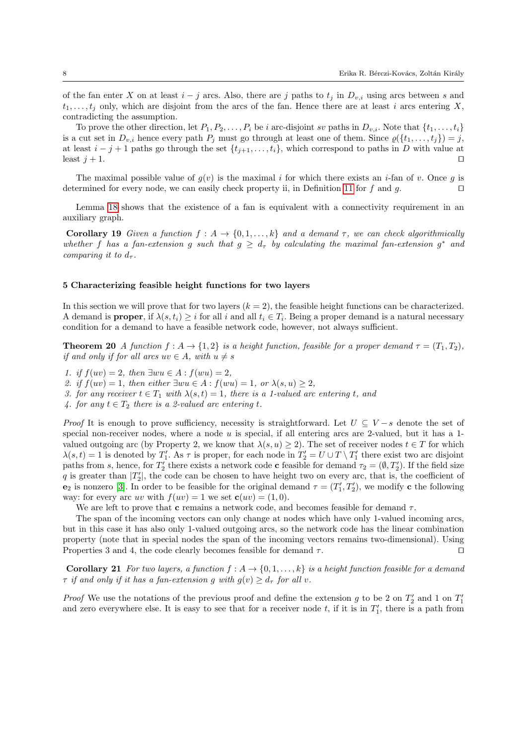of the fan enter X on at least  $i - j$  arcs. Also, there are j paths to  $t_i$  in  $D_{v,i}$  using arcs between s and  $t_1, \ldots, t_j$  only, which are disjoint from the arcs of the fan. Hence there are at least i arcs entering X, contradicting the assumption.

To prove the other direction, let  $P_1, P_2, \ldots, P_i$  be i arc-disjoint sv paths in  $D_{v,i}$ . Note that  $\{t_1, \ldots, t_i\}$ is a cut set in  $D_{v,i}$  hence every path  $P_j$  must go through at least one of them. Since  $\varrho(\lbrace t_1,\ldots,t_j\rbrace)=j$ , at least  $i - j + 1$  paths go through the set  $\{t_{j+1}, \ldots, t_i\}$ , which correspond to paths in D with value at least  $j + 1$ .

The maximal possible value of  $g(v)$  is the maximal i for which there exists an i-fan of v. Once g is determined for every node, we can easily check property ii, in Definition [11](#page-4-1) for f and g.  $\square$ 

Lemma [18](#page-6-1) shows that the existence of a fan is equivalent with a connectivity requirement in an auxiliary graph.

Corollary 19 Given a function  $f : A \to \{0, 1, ..., k\}$  and a demand  $\tau$ , we can check algorithmically whether f has a fan-extension g such that  $g \geq d_{\tau}$  by calculating the maximal fan-extension  $g^*$  and comparing it to  $d_{\tau}$ .

# <span id="page-7-0"></span>5 Characterizing feasible height functions for two layers

In this section we will prove that for two layers  $(k = 2)$ , the feasible height functions can be characterized. A demand is **proper**, if  $\lambda(s, t_i) \geq i$  for all i and all  $t_i \in T_i$ . Being a proper demand is a natural necessary condition for a demand to have a feasible network code, however, not always sufficient.

<span id="page-7-1"></span>**Theorem 20** A function  $f: A \to \{1,2\}$  is a height function, feasible for a proper demand  $\tau = (T_1, T_2)$ , if and only if for all arcs  $uv \in A$ , with  $u \neq s$ 

1. if  $f(uv) = 2$ , then  $\exists w u \in A : f(wu) = 2$ ,

2. if  $f(uv) = 1$ , then either  $\exists w u \in A : f(wu) = 1$ , or  $\lambda(s, u) \geq 2$ ,

- 3. for any receiver  $t \in T_1$  with  $\lambda(s,t) = 1$ , there is a 1-valued arc entering t, and
- 4. for any  $t \in T_2$  there is a 2-valued arc entering t.

*Proof* It is enough to prove sufficiency, necessity is straightforward. Let  $U \subseteq V - s$  denote the set of special non-receiver nodes, where a node  $u$  is special, if all entering arcs are 2-valued, but it has a 1valued outgoing arc (by Property 2, we know that  $\lambda(s, u) \geq 2$ ). The set of receiver nodes  $t \in T$  for which  $\lambda(s,t) = 1$  is denoted by  $T_1'$ . As  $\tau$  is proper, for each node in  $T_2' = U \cup T \setminus T_1'$  there exist two arc disjoint paths from s, hence, for  $T_2'$  there exists a network code **c** feasible for demand  $\tau_2 = (\emptyset, T_2')$ . If the field size q is greater than  $|T_2|$ , the code can be chosen to have height two on every arc, that is, the coefficient of  $e_2$  is nonzero [\[3\]](#page-13-5). In order to be feasible for the original demand  $\tau = (T_1', T_2')$ , we modify **c** the following way: for every arc uv with  $f(uv) = 1$  we set  $\mathbf{c}(uv) = (1, 0)$ .

We are left to prove that **c** remains a network code, and becomes feasible for demand  $\tau$ .

The span of the incoming vectors can only change at nodes which have only 1-valued incoming arcs, but in this case it has also only 1-valued outgoing arcs, so the network code has the linear combination property (note that in special nodes the span of the incoming vectors remains two-dimensional). Using Properties 3 and 4, the code clearly becomes feasible for demand  $\tau$ .

**Corollary 21** For two layers, a function  $f : A \to \{0, 1, \ldots, k\}$  is a height function feasible for a demand  $\tau$  if and only if it has a fan-extension g with  $g(v) \geq d_{\tau}$  for all v.

*Proof* We use the notations of the previous proof and define the extension g to be 2 on  $T_2'$  and 1 on  $T_1'$ and zero everywhere else. It is easy to see that for a receiver node  $t$ , if it is in  $T_1'$ , there is a path from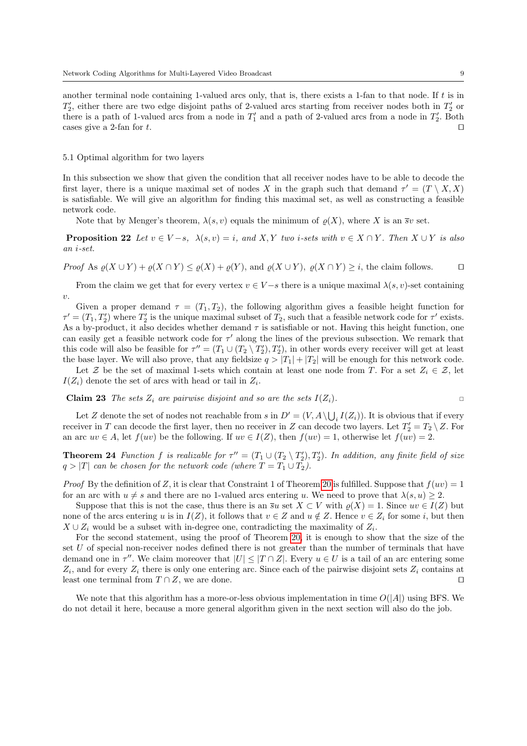another terminal node containing 1-valued arcs only, that is, there exists a 1-fan to that node. If  $t$  is in  $T_2'$ , either there are two edge disjoint paths of 2-valued arcs starting from receiver nodes both in  $T_2'$  or there is a path of 1-valued arcs from a node in  $T_1'$  and a path of 2-valued arcs from a node in  $T_2'$ . Both cases give a 2-fan for t.

#### 5.1 Optimal algorithm for two layers

In this subsection we show that given the condition that all receiver nodes have to be able to decode the first layer, there is a unique maximal set of nodes X in the graph such that demand  $\tau' = (T \setminus X, X)$ is satisfiable. We will give an algorithm for finding this maximal set, as well as constructing a feasible network code.

Note that by Menger's theorem,  $\lambda(s, v)$  equals the minimum of  $\rho(X)$ , where X is an  $\overline{s}v$  set.

**Proposition 22** Let  $v \in V - s$ ,  $\lambda(s, v) = i$ , and X, Y two i-sets with  $v \in X \cap Y$ . Then  $X \cup Y$  is also an i-set.

Proof As  $\rho(X \cup Y) + \rho(X \cap Y) \leq \rho(X) + \rho(Y)$ , and  $\rho(X \cup Y)$ ,  $\rho(X \cap Y) \geq i$ , the claim follows.

From the claim we get that for every vertex  $v \in V - s$  there is a unique maximal  $\lambda(s, v)$ -set containing  $\overline{v}$ .

Given a proper demand  $\tau = (T_1, T_2)$ , the following algorithm gives a feasible height function for  $\tau' = (T_1, T_2')$  where  $T_2'$  is the unique maximal subset of  $T_2$ , such that a feasible network code for  $\tau'$  exists. As a by-product, it also decides whether demand  $\tau$  is satisfiable or not. Having this height function, one can easily get a feasible network code for  $\tau'$  along the lines of the previous subsection. We remark that this code will also be feasible for  $\tau'' = (T_1 \cup (T_2 \setminus T_2'), T_2')$ , in other words every receiver will get at least the base layer. We will also prove, that any fieldsize  $q > |T_1| + |T_2|$  will be enough for this network code.

Let Z be the set of maximal 1-sets which contain at least one node from T. For a set  $Z_i \in \mathcal{Z}$ , let  $I(Z_i)$  denote the set of arcs with head or tail in  $Z_i$ .

**Claim 23** The sets  $Z_i$  are pairwise disjoint and so are the sets  $I(Z_i)$ .

Let Z denote the set of nodes not reachable from s in  $D' = (V, A \setminus \bigcup_i I(Z_i))$ . It is obvious that if every receiver in T can decode the first layer, then no receiver in Z can decode two layers. Let  $T_2' = T_2 \setminus Z$ . For an arc  $uv \in A$ , let  $f(uv)$  be the following. If  $uv \in I(Z)$ , then  $f(uv) = 1$ , otherwise let  $f(uv) = 2$ .

**Theorem 24** Function f is realizable for  $\tau'' = (T_1 \cup (T_2 \setminus T_2'), T_2')$ . In addition, any finite field of size  $q > |T|$  can be chosen for the network code (where  $T = T_1 \cup T_2$ ).

*Proof* By the definition of Z, it is clear that Constraint 1 of Theorem [20](#page-7-1) is fulfilled. Suppose that  $f(w) = 1$ for an arc with  $u \neq s$  and there are no 1-valued arcs entering u. We need to prove that  $\lambda(s, u) \geq 2$ .

Suppose that this is not the case, thus there is an  $\overline{s}u$  set  $X \subset V$  with  $\rho(X) = 1$ . Since  $uv \in I(Z)$  but none of the arcs entering u is in  $I(Z)$ , it follows that  $v \in Z$  and  $u \notin Z$ . Hence  $v \in Z_i$  for some i, but then  $X \cup Z_i$  would be a subset with in-degree one, contradicting the maximality of  $Z_i$ .

For the second statement, using the proof of Theorem [20,](#page-7-1) it is enough to show that the size of the set U of special non-receiver nodes defined there is not greater than the number of terminals that have demand one in  $\tau''$ . We claim moreover that  $|U| \leq |T \cap Z|$ . Every  $u \in U$  is a tail of an arc entering some  $Z_i$ , and for every  $Z_i$  there is only one entering arc. Since each of the pairwise disjoint sets  $Z_i$  contains at least one terminal from  $T \cap Z$ , we are done.

We note that this algorithm has a more-or-less obvious implementation in time  $O(|A|)$  using BFS. We do not detail it here, because a more general algorithm given in the next section will also do the job.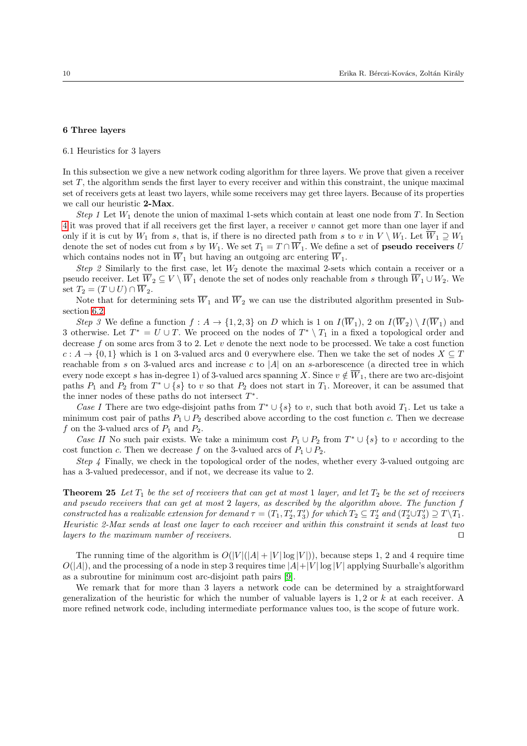# <span id="page-9-0"></span>6 Three layers

6.1 Heuristics for 3 layers

In this subsection we give a new network coding algorithm for three layers. We prove that given a receiver set T, the algorithm sends the first layer to every receiver and within this constraint, the unique maximal set of receivers gets at least two layers, while some receivers may get three layers. Because of its properties we call our heuristic 2-Max.

Step 1 Let  $W_1$  denote the union of maximal 1-sets which contain at least one node from T. In Section [4](#page-4-0) it was proved that if all receivers get the first layer, a receiver v cannot get more than one layer if and only if it is cut by  $W_1$  from s, that is, if there is no directed path from s to v in  $V \setminus W_1$ . Let  $\overline{W}_1 \supseteq W_1$ denote the set of nodes cut from s by W<sub>1</sub>. We set  $T_1 = T \cap \overline{W}_1$ . We define a set of **pseudo receivers** U which contains nodes not in  $\overline{W}_1$  but having an outgoing arc entering  $\overline{W}_1$ .

Step 2 Similarly to the first case, let  $W_2$  denote the maximal 2-sets which contain a receiver or a pseudo receiver. Let  $\overline{W}_2 \subseteq V \setminus \overline{W}_1$  denote the set of nodes only reachable from s through  $\overline{W}_1 \cup W_2$ . We set  $T_2 = (T \cup U) \cap \overline{W}_2$ .

Note that for determining sets  $\overline{W}_1$  and  $\overline{W}_2$  we can use the distributed algorithm presented in Subsection [6.2.](#page-10-0)

Step 3 We define a function  $f: A \to \{1,2,3\}$  on D which is 1 on  $I(\overline{W}_1)$ , 2 on  $I(\overline{W}_2) \setminus I(\overline{W}_1)$  and 3 otherwise. Let  $T^* = U \cup T$ . We proceed on the nodes of  $T^* \setminus T_1$  in a fixed a topological order and decrease f on some arcs from 3 to 2. Let  $v$  denote the next node to be processed. We take a cost function  $c: A \to \{0,1\}$  which is 1 on 3-valued arcs and 0 everywhere else. Then we take the set of nodes  $X \subseteq T$ reachable from s on 3-valued arcs and increase c to  $|A|$  on an s-arborescence (a directed tree in which every node except s has in-degree 1) of 3-valued arcs spanning X. Since  $v \notin \overline{W}_1$ , there are two arc-disjoint paths  $P_1$  and  $P_2$  from  $T^* \cup \{s\}$  to v so that  $P_2$  does not start in  $T_1$ . Moreover, it can be assumed that the inner nodes of these paths do not intersect  $T^*$ .

Case I There are two edge-disjoint paths from  $T^* \cup \{s\}$  to v, such that both avoid  $T_1$ . Let us take a minimum cost pair of paths  $P_1 \cup P_2$  described above according to the cost function c. Then we decrease f on the 3-valued arcs of  $P_1$  and  $P_2$ .

Case II No such pair exists. We take a minimum cost  $P_1 \cup P_2$  from  $T^* \cup \{s\}$  to v according to the cost function c. Then we decrease f on the 3-valued arcs of  $P_1 \cup P_2$ .

Step 4 Finally, we check in the topological order of the nodes, whether every 3-valued outgoing arc has a 3-valued predecessor, and if not, we decrease its value to 2.

**Theorem 25** Let  $T_1$  be the set of receivers that can get at most 1 layer, and let  $T_2$  be the set of receivers and pseudo receivers that can get at most 2 layers, as described by the algorithm above. The function f constructed has a realizable extension for demand  $\tau = (T_1, T_2', T_3')$  for which  $T_2 \subseteq T_2'$  and  $(T_2' \cup T_3') \supseteq T \setminus T_1$ . Heuristic 2-Max sends at least one layer to each receiver and within this constraint it sends at least two layers to the maximum number of receivers.  $\Box$ 

The running time of the algorithm is  $O(|V|(|A|+|V| \log |V|))$ , because steps 1, 2 and 4 require time  $O(|A|)$ , and the processing of a node in step 3 requires time  $|A|+|V| \log |V|$  applying Suurballe's algorithm as a subroutine for minimum cost arc-disjoint path pairs [\[9\]](#page-13-6).

We remark that for more than 3 layers a network code can be determined by a straightforward generalization of the heuristic for which the number of valuable layers is  $1, 2$  or k at each receiver. A more refined network code, including intermediate performance values too, is the scope of future work.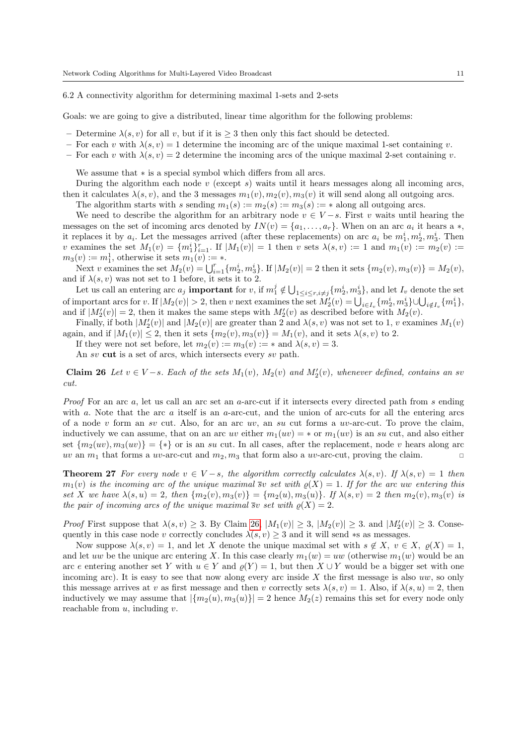<span id="page-10-0"></span>6.2 A connectivity algorithm for determining maximal 1-sets and 2-sets

Goals: we are going to give a distributed, linear time algorithm for the following problems:

- Determine  $\lambda(s, v)$  for all v, but if it is  $\geq 3$  then only this fact should be detected.
- For each v with  $\lambda(s, v) = 1$  determine the incoming arc of the unique maximal 1-set containing v.
- For each v with  $\lambda(s, v) = 2$  determine the incoming arcs of the unique maximal 2-set containing v.

We assume that ∗ is a special symbol which differs from all arcs.

During the algorithm each node  $v$  (except  $s$ ) waits until it hears messages along all incoming arcs, then it calculates  $\lambda(s, v)$ , and the 3 messages  $m_1(v), m_2(v), m_3(v)$  it will send along all outgoing arcs.

The algorithm starts with s sending  $m_1(s) := m_2(s) := m_3(s) := *$  along all outgoing arcs.

We need to describe the algorithm for an arbitrary node  $v \in V-s$ . First v waits until hearing the messages on the set of incoming arcs denoted by  $IN(v) = \{a_1, \ldots, a_r\}$ . When on an arc  $a_i$  it hears a  $*,$ it replaces it by  $a_i$ . Let the messages arrived (after these replacements) on arc  $a_i$  be  $m_1^i, m_2^i, m_3^i$ . Then v examines the set  $M_1(v) = \{m_1^i\}_{i=1}^r$ . If  $|M_1(v)| = 1$  then v sets  $\lambda(s, v) := 1$  and  $m_1(v) := m_2(v) :=$  $m_3(v) := m_1^1$ , otherwise it sets  $m_1(v) := *$ .

Next v examines the set  $M_2(v) = \bigcup_{i=1}^r \{m_2^i, m_3^i\}$ . If  $|M_2(v)| = 2$  then it sets  $\{m_2(v), m_3(v)\} = M_2(v)$ , and if  $\lambda(s, v)$  was not set to 1 before, it sets it to 2.

Let us call an entering arc  $a_j$  **important** for v, if  $m_1^j \notin \bigcup_{1 \leq i \leq r, i \neq j} \{m_2^i, m_3^i\}$ , and let  $I_v$  denote the set of important arcs for v. If  $|M_2(v)| > 2$ , then v next examines the set  $M'_2(v) = \bigcup_{i \in I_v} \{m_2^i, m_3^i\} \cup \bigcup_{i \notin I_v} \{m_1^i\},\$ and if  $|M'_2(v)| = 2$ , then it makes the same steps with  $M'_2(v)$  as described before with  $M_2(v)$ .

Finally, if both  $|M'_2(v)|$  and  $|M_2(v)|$  are greater than 2 and  $\lambda(s, v)$  was not set to 1, v examines  $M_1(v)$ again, and if  $|M_1(v)| \leq 2$ , then it sets  $\{m_2(v), m_3(v)\} = M_1(v)$ , and it sets  $\lambda(s, v)$  to 2.

If they were not set before, let  $m_2(v) := m_3(v) := *$  and  $\lambda(s, v) = 3$ .

An sv cut is a set of arcs, which intersects every sv path.

<span id="page-10-1"></span>Claim 26 Let  $v \in V-s$ . Each of the sets  $M_1(v)$ ,  $M_2(v)$  and  $M'_2(v)$ , whenever defined, contains an sv cut.

Proof For an arc a, let us call an arc set an a-arc-cut if it intersects every directed path from s ending with a. Note that the arc  $a$  itself is an  $a$ -arc-cut, and the union of arc-cuts for all the entering arcs of a node v form an sv cut. Also, for an arc uv, an su cut forms a uv-arc-cut. To prove the claim, inductively we can assume, that on an arc uv either  $m_1(uv) = *$  or  $m_1(uv)$  is an su cut, and also either set  $\{m_2(uv), m_3(uv)\} = \{*\}$  or is an su cut. In all cases, after the replacement, node v hears along arc uv an  $m_1$  that forms a uv-arc-cut and  $m_2, m_3$  that form also a uv-arc-cut, proving the claim.

**Theorem 27** For every node  $v \in V - s$ , the algorithm correctly calculates  $\lambda(s, v)$ . If  $\lambda(s, v) = 1$  then  $m_1(v)$  is the incoming arc of the unique maximal  $\overline{s}v$  set with  $\rho(X) = 1$ . If for the arc uw entering this set X we have  $\lambda(s, u) = 2$ , then  $\{m_2(v), m_3(v)\} = \{m_2(u), m_3(u)\}$ . If  $\lambda(s, v) = 2$  then  $m_2(v), m_3(v)$  is the pair of incoming arcs of the unique maximal  $\overline{s}v$  set with  $\rho(X) = 2$ .

*Proof* First suppose that  $\lambda(s, v) \geq 3$ . By Claim [26,](#page-10-1)  $|M_1(v)| \geq 3$ ,  $|M_2(v)| \geq 3$ . and  $|M'_2(v)| \geq 3$ . Consequently in this case node v correctly concludes  $\lambda(s, v) \geq 3$  and it will send ∗s as messages.

Now suppose  $\lambda(s, v) = 1$ , and let X denote the unique maximal set with  $s \notin X$ ,  $v \in X$ ,  $\varrho(X) = 1$ , and let uw be the unique arc entering X. In this case clearly  $m_1(w) = uw$  (otherwise  $m_1(w)$  would be an arc e entering another set Y with  $u \in Y$  and  $\varrho(Y) = 1$ , but then  $X \cup Y$  would be a bigger set with one incoming arc). It is easy to see that now along every arc inside  $X$  the first message is also uw, so only this message arrives at v as first message and then v correctly sets  $\lambda(s, v) = 1$ . Also, if  $\lambda(s, u) = 2$ , then inductively we may assume that  $|\{m_2(u), m_3(u)\}| = 2$  hence  $M_2(z)$  remains this set for every node only reachable from  $u$ , including  $v$ .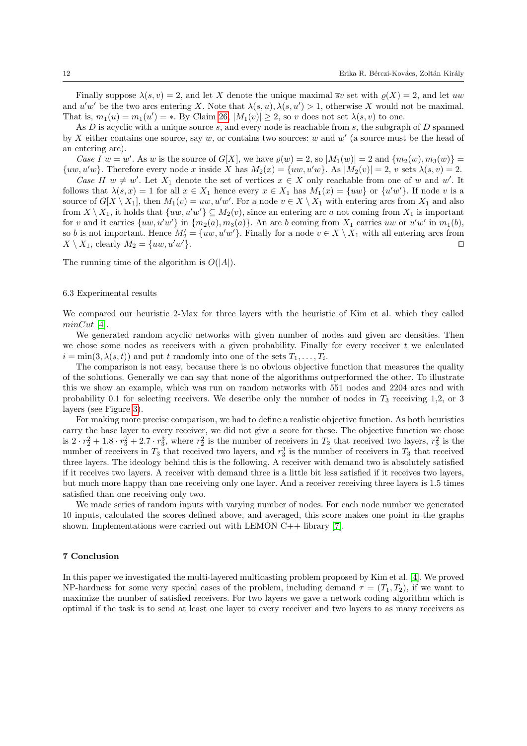Finally suppose  $\lambda(s, v) = 2$ , and let X denote the unique maximal  $\overline{s}v$  set with  $\rho(X) = 2$ , and let uw and  $u'w'$  be the two arcs entering X. Note that  $\lambda(s, u), \lambda(s, u') > 1$ , otherwise X would not be maximal. That is,  $m_1(u) = m_1(u') = *$ . By Claim [26,](#page-10-1)  $|M_1(v)| \geq 2$ , so v does not set  $\lambda(s, v)$  to one.

As  $D$  is acyclic with a unique source  $s$ , and every node is reachable from  $s$ , the subgraph of  $D$  spanned by X either contains one source, say w, or contains two sources: w and  $w'$  (a source must be the head of an entering arc).

Case I  $w = w'$ . As w is the source of  $G[X]$ , we have  $\varrho(w) = 2$ , so  $|M_1(w)| = 2$  and  $\{m_2(w), m_3(w)\} =$  $\{uw, u'w\}$ . Therefore every node x inside X has  $M_2(x) = \{uw, u'w\}$ . As  $|M_2(v)| = 2$ , v sets  $\lambda(s, v) = 2$ .

Case II  $w \neq w'$ . Let  $X_1$  denote the set of vertices  $x \in X$  only reachable from one of w and w'. It follows that  $\lambda(s, x) = 1$  for all  $x \in X_1$  hence every  $x \in X_1$  has  $M_1(x) = \{uw\}$  or  $\{u'w'\}$ . If node v is a source of  $G[X \setminus X_1]$ , then  $M_1(v) = uw, u'w'$ . For a node  $v \in X \setminus X_1$  with entering arcs from  $X_1$  and also from  $X \setminus X_1$ , it holds that  $\{uw, u'w'\} \subseteq M_2(v)$ , since an entering arc a not coming from  $X_1$  is important for v and it carries  $\{uw, u'w'\}$  in  $\{m_2(a), m_3(a)\}$ . An arc b coming from  $X_1$  carries uw or  $u'w'$  in  $m_1(b)$ , so b is not important. Hence  $M'_2 = \{uw, u'w'\}$ . Finally for a node  $v \in X \setminus X_1$  with all entering arcs from  $X \setminus X_1$ , clearly  $M_2 = \{uw, u'w'\}.$  $\left\langle \cdot \right\rangle$ .

The running time of the algorithm is  $O(|A|)$ .

#### 6.3 Experimental results

We compared our heuristic 2-Max for three layers with the heuristic of Kim et al. which they called  $minCut$  [\[4\]](#page-13-2).

We generated random acyclic networks with given number of nodes and given arc densities. Then we chose some nodes as receivers with a given probability. Finally for every receiver  $t$  we calculated  $i = \min(3, \lambda(s, t))$  and put t randomly into one of the sets  $T_1, \ldots, T_i$ .

The comparison is not easy, because there is no obvious objective function that measures the quality of the solutions. Generally we can say that none of the algorithms outperformed the other. To illustrate this we show an example, which was run on random networks with 551 nodes and 2204 arcs and with probability 0.1 for selecting receivers. We describe only the number of nodes in  $T_3$  receiving 1,2, or 3 layers (see Figure [3\)](#page-12-0).

For making more precise comparison, we had to define a realistic objective function. As both heuristics carry the base layer to every receiver, we did not give a score for these. The objective function we chose is  $2 \cdot r_2^2 + 1.8 \cdot r_3^2 + 2.7 \cdot r_3^3$ , where  $r_2^2$  is the number of receivers in  $T_2$  that received two layers,  $r_3^2$  is the number of receivers in  $T_3$  that received two layers, and  $r_3^3$  is the number of receivers in  $T_3$  that received three layers. The ideology behind this is the following. A receiver with demand two is absolutely satisfied if it receives two layers. A receiver with demand three is a little bit less satisfied if it receives two layers, but much more happy than one receiving only one layer. And a receiver receiving three layers is 1.5 times satisfied than one receiving only two.

We made series of random inputs with varying number of nodes. For each node number we generated 10 inputs, calculated the scores defined above, and averaged, this score makes one point in the graphs shown. Implementations were carried out with LEMON C++ library [\[7\]](#page-13-7).

# 7 Conclusion

In this paper we investigated the multi-layered multicasting problem proposed by Kim et al. [\[4\]](#page-13-2). We proved NP-hardness for some very special cases of the problem, including demand  $\tau = (T_1, T_2)$ , if we want to maximize the number of satisfied receivers. For two layers we gave a network coding algorithm which is optimal if the task is to send at least one layer to every receiver and two layers to as many receivers as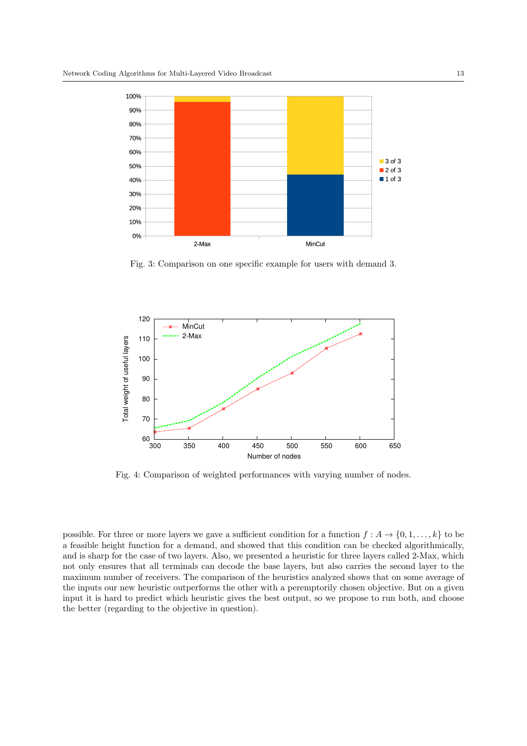<span id="page-12-0"></span>

Fig. 3: Comparison on one specific example for users with demand 3.



Fig. 4: Comparison of weighted performances with varying number of nodes.

possible. For three or more layers we gave a sufficient condition for a function  $f : A \to \{0, 1, \ldots, k\}$  to be a feasible height function for a demand, and showed that this condition can be checked algorithmically, and is sharp for the case of two layers. Also, we presented a heuristic for three layers called 2-Max, which not only ensures that all terminals can decode the base layers, but also carries the second layer to the maximum number of receivers. The comparison of the heuristics analyzed shows that on some average of the inputs our new heuristic outperforms the other with a peremptorily chosen objective. But on a given input it is hard to predict which heuristic gives the best output, so we propose to run both, and choose the better (regarding to the objective in question).